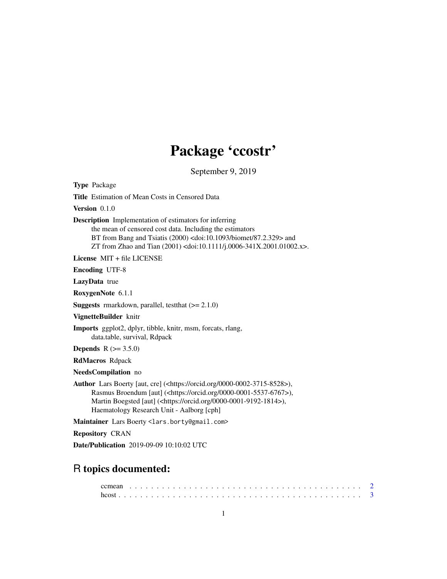# Package 'ccostr'

September 9, 2019

| <b>Type Package</b>                                                                                                                                                                                                                                                                                          |
|--------------------------------------------------------------------------------------------------------------------------------------------------------------------------------------------------------------------------------------------------------------------------------------------------------------|
| <b>Title</b> Estimation of Mean Costs in Censored Data                                                                                                                                                                                                                                                       |
| Version $0.1.0$                                                                                                                                                                                                                                                                                              |
| <b>Description</b> Implementation of estimators for inferring<br>the mean of censored cost data. Including the estimators<br>BT from Bang and Tsiatis (2000) <doi:10.1093 87.2.329="" biomet=""> and<br/>ZT from Zhao and Tian (2001) <doi:10.1111 j.0006-341x.2001.01002.x="">.</doi:10.1111></doi:10.1093> |
| License $MIT + file LICENSE$                                                                                                                                                                                                                                                                                 |
| <b>Encoding UTF-8</b>                                                                                                                                                                                                                                                                                        |
| LazyData true                                                                                                                                                                                                                                                                                                |
| RoxygenNote 6.1.1                                                                                                                                                                                                                                                                                            |
| <b>Suggests</b> rmarkdown, parallel, test that $(>= 2.1.0)$                                                                                                                                                                                                                                                  |
| VignetteBuilder knitr                                                                                                                                                                                                                                                                                        |
| Imports ggplot2, dplyr, tibble, knitr, msm, forcats, rlang,<br>data.table, survival, Rdpack                                                                                                                                                                                                                  |
| <b>Depends</b> $R (= 3.5.0)$                                                                                                                                                                                                                                                                                 |
| <b>RdMacros Rdpack</b>                                                                                                                                                                                                                                                                                       |
| NeedsCompilation no                                                                                                                                                                                                                                                                                          |
| Author Lars Boerty [aut, cre] ( <https: 0000-0002-3715-8528="" orcid.org="">),<br/>Rasmus Broendum [aut] (<https: 0000-0001-5537-6767="" orcid.org="">),<br/>Martin Boegsted [aut] (<https: 0000-0001-9192-1814="" orcid.org="">),<br/>Haematology Research Unit - Aalborg [cph]</https:></https:></https:>  |
| Maintainer Lars Boerty <lars.borty@gmail.com></lars.borty@gmail.com>                                                                                                                                                                                                                                         |
| <b>Repository CRAN</b>                                                                                                                                                                                                                                                                                       |
| Date/Publication 2019-09-09 10:10:02 UTC                                                                                                                                                                                                                                                                     |
|                                                                                                                                                                                                                                                                                                              |
| R topics documented:                                                                                                                                                                                                                                                                                         |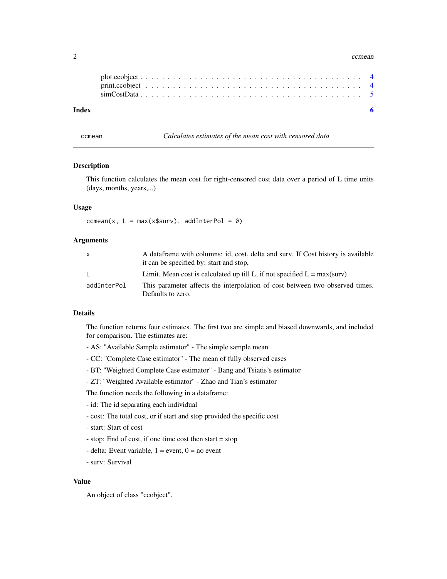#### <span id="page-1-0"></span>2 comean come come come of the comean come of the comean comean comean comean comean comean come of the comean

| Index |  |  |  |  |  |  |  |  |  |  |  |  |  |  |  |  |  |  |  |
|-------|--|--|--|--|--|--|--|--|--|--|--|--|--|--|--|--|--|--|--|
|       |  |  |  |  |  |  |  |  |  |  |  |  |  |  |  |  |  |  |  |
|       |  |  |  |  |  |  |  |  |  |  |  |  |  |  |  |  |  |  |  |

ccmean *Calculates estimates of the mean cost with censored data*

#### Description

This function calculates the mean cost for right-censored cost data over a period of L time units (days, months, years,...)

### Usage

ccmean(x,  $L = max(x$surv)$ , addInterPol = 0)

# Arguments

| X           | A dataframe with columns: id, cost, delta and surv. If Cost history is available<br>it can be specified by: start and stop, |
|-------------|-----------------------------------------------------------------------------------------------------------------------------|
| L.          | Limit. Mean cost is calculated up till L, if not specified $L = max(surv)$                                                  |
| addInterPol | This parameter affects the interpolation of cost between two observed times.<br>Defaults to zero.                           |

# Details

The function returns four estimates. The first two are simple and biased downwards, and included for comparison. The estimates are:

- AS: "Available Sample estimator" The simple sample mean
- CC: "Complete Case estimator" The mean of fully observed cases
- BT: "Weighted Complete Case estimator" Bang and Tsiatis's estimator
- ZT: "Weighted Available estimator" Zhao and Tian's estimator

The function needs the following in a dataframe:

- id: The id separating each individual
- cost: The total cost, or if start and stop provided the specific cost
- start: Start of cost
- stop: End of cost, if one time cost then start = stop
- delta: Event variable,  $1 =$  event,  $0 =$  no event
- surv: Survival

# Value

An object of class "ccobject".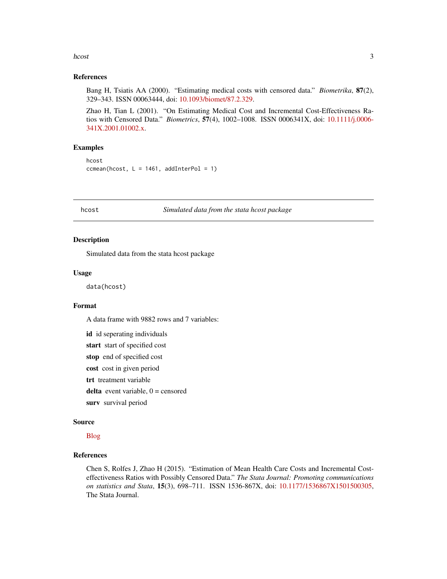#### <span id="page-2-0"></span>hcost 3

#### References

Bang H, Tsiatis AA (2000). "Estimating medical costs with censored data." *Biometrika*, 87(2), 329–343. ISSN 00063444, doi: [10.1093/biomet/87.2.329.](https://doi.org/10.1093/biomet/87.2.329)

Zhao H, Tian L (2001). "On Estimating Medical Cost and Incremental Cost-Effectiveness Ratios with Censored Data." *Biometrics*, 57(4), 1002–1008. ISSN 0006341X, doi: [10.1111/j.0006-](https://doi.org/10.1111/j.0006-341X.2001.01002.x) [341X.2001.01002.x.](https://doi.org/10.1111/j.0006-341X.2001.01002.x)

### Examples

```
hcost
ccmean(hcost, L = 1461, addInterPol = 1)
```
hcost *Simulated data from the stata hcost package*

## Description

Simulated data from the stata hcost package

# Usage

data(hcost)

# Format

A data frame with 9882 rows and 7 variables:

id id seperating individuals

start start of specified cost

stop end of specified cost

cost cost in given period

trt treatment variable

delta event variable,  $0 =$  censored

surv survival period

#### Source

[Blog](http://shuaichen.weebly.com/developed-package.html)

# References

Chen S, Rolfes J, Zhao H (2015). "Estimation of Mean Health Care Costs and Incremental Costeffectiveness Ratios with Possibly Censored Data." *The Stata Journal: Promoting communications on statistics and Stata*, 15(3), 698–711. ISSN 1536-867X, doi: [10.1177/1536867X1501500305,](https://doi.org/10.1177/1536867X1501500305) The Stata Journal.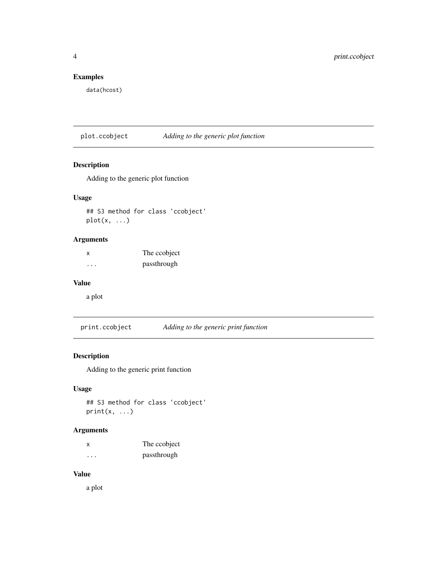# <span id="page-3-0"></span>Examples

data(hcost)

plot.ccobject *Adding to the generic plot function*

# Description

Adding to the generic plot function

# Usage

## S3 method for class 'ccobject' plot(x, ...)

# Arguments

x The ccobject ... passthrough

# Value

a plot

print.ccobject *Adding to the generic print function*

# Description

Adding to the generic print function

# Usage

## S3 method for class 'ccobject'  $print(x, \ldots)$ 

# Arguments

| x                       | The coobject |
|-------------------------|--------------|
| $\cdot$ $\cdot$ $\cdot$ | passthrough  |

# Value

a plot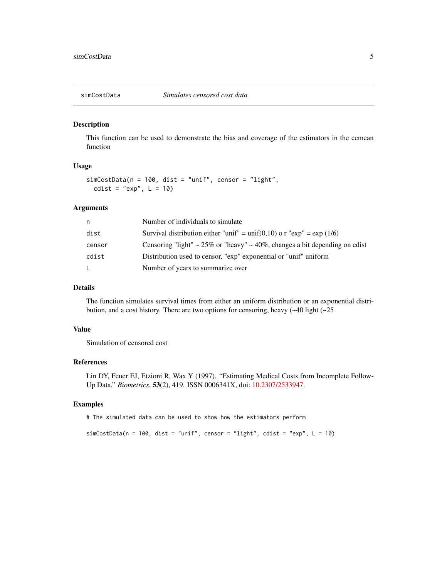<span id="page-4-0"></span>

# Description

This function can be used to demonstrate the bias and coverage of the estimators in the ccmean function

#### Usage

```
simCostData(n = 100, dist = "unif", censor = "light",
 cdist = "exp", L = 10)
```
#### Arguments

| n      | Number of individuals to simulate                                             |
|--------|-------------------------------------------------------------------------------|
| dist   | Survival distribution either "unif" = unif(0,10) o r " $\exp$ " = $\exp(1/6)$ |
| censor | Censoring "light" ~ 25% or "heavy" ~ 40%, changes a bit depending on cdist    |
| cdist  | Distribution used to censor, "exp" exponential or "unif" uniform              |
| L.     | Number of years to summarize over                                             |

### Details

The function simulates survival times from either an uniform distribution or an exponential distribution, and a cost history. There are two options for censoring, heavy  $(-40 \text{ light } (-25 \text{ }$ 

# Value

Simulation of censored cost

### References

Lin DY, Feuer EJ, Etzioni R, Wax Y (1997). "Estimating Medical Costs from Incomplete Follow-Up Data." *Biometrics*, 53(2), 419. ISSN 0006341X, doi: [10.2307/2533947.](https://doi.org/10.2307/2533947)

#### Examples

# The simulated data can be used to show how the estimators perform

 $simCostData(n = 100, dist = "unif", censor = "light", cdist = "exp", L = 10)$